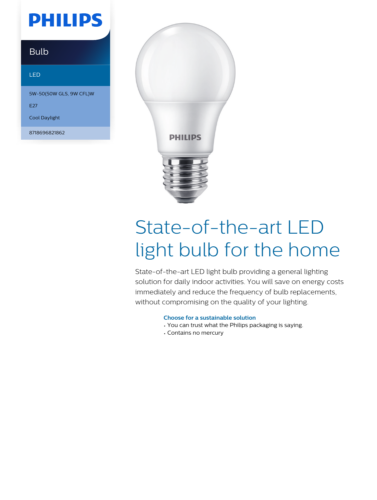## **PHILIPS**

### Bulb

#### LED

5W-50(50W GLS, 9W CFL)W

E<sub>27</sub>

Cool Daylight

8718696821862



# State-of-the-art LED light bulb for the home

State-of-the-art LED light bulb providing a general lighting solution for daily indoor activities. You will save on energy costs immediately and reduce the frequency of bulb replacements, without compromising on the quality of your lighting.

#### **Choose for a sustainable solution**

- You can trust what the Philips packaging is saying.
- Contains no mercury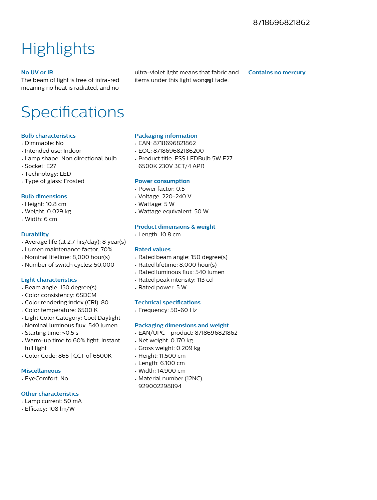### **Highlights**

#### **No UV or IR**

The beam of light is free of infra-red meaning no heat is radiated, and no ultra-violet light means that fabric and items under this light wonont fade.

**Contains no mercury**

### Specifications

#### **Bulb characteristics**

- Dimmable: No
- Intended use: Indoor
- Lamp shape: Non directional bulb
- Socket: E27
- Technology: LED
- Type of glass: Frosted

#### **Bulb dimensions**

- Height: 10.8 cm
- Weight: 0.029 kg
- Width: 6 cm

#### **Durability**

- Average life (at 2.7 hrs/day): 8 year(s)
- Lumen maintenance factor: 70%
- Nominal lifetime: 8,000 hour(s)
- Number of switch cycles: 50,000

#### **Light characteristics**

- Beam angle: 150 degree(s)
- Color consistency: 6SDCM
- Color rendering index (CRI): 80
- Color temperature: 6500 K
- Light Color Category: Cool Daylight
- Nominal luminous flux: 540 lumen
- Starting time: <0.5 s
- Warm-up time to 60% light: Instant full light
- Color Code: 865 | CCT of 6500K

#### **Miscellaneous**

• EyeComfort: No

#### **Other characteristics**

- Lamp current: 50 mA
- Efficacy: 108 lm/W

#### **Packaging information**

- EAN: 8718696821862
- EOC: 871869682186200
- Product title: ESS LEDBulb 5W E27 6500K 230V 3CT/4 APR

#### **Power consumption**

- Power factor: 0.5
- Voltage: 220-240 V
- Wattage: 5 W
- Wattage equivalent: 50 W

#### **Product dimensions & weight**

• Length: 10.8 cm

#### **Rated values**

- Rated beam angle: 150 degree(s)
- Rated lifetime: 8,000 hour(s)
- Rated luminous flux: 540 lumen
- Rated peak intensity: 113 cd
- Rated power: 5 W

#### **Technical specifications**

• Frequency: 50-60 Hz

#### **Packaging dimensions and weight**

- EAN/UPC product: 8718696821862
- Net weight: 0.170 kg
- Gross weight: 0.209 kg
- Height: 11.500 cm
- Length: 6.100 cm
- Width: 14.900 cm
- Material number (12NC): 929002298894